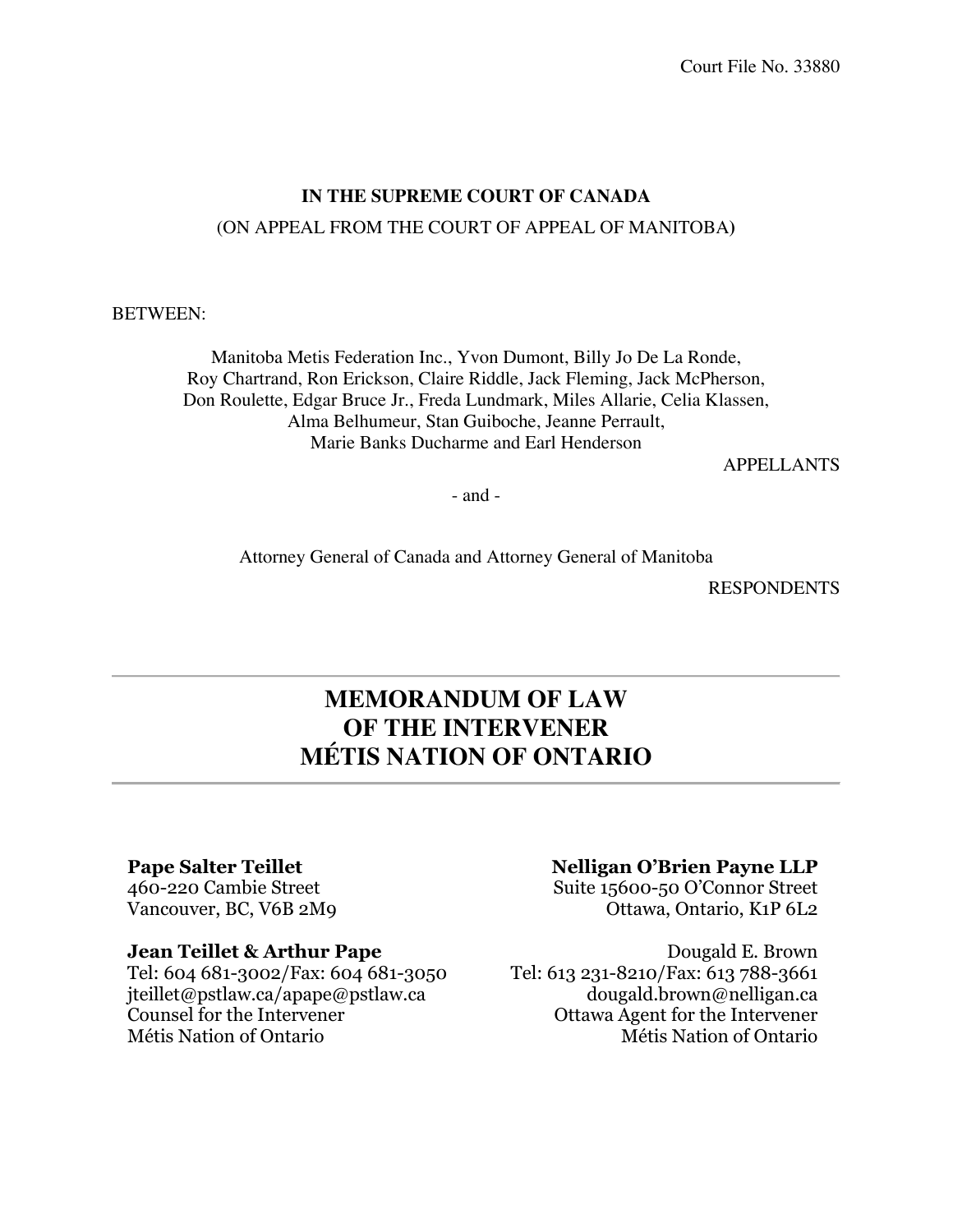# **IN THE SUPREME COURT OF CANADA** (ON APPEAL FROM THE COURT OF APPEAL OF MANITOBA**)**

## BETWEEN:

Manitoba Metis Federation Inc., Yvon Dumont, Billy Jo De La Ronde, Roy Chartrand, Ron Erickson, Claire Riddle, Jack Fleming, Jack McPherson, Don Roulette, Edgar Bruce Jr., Freda Lundmark, Miles Allarie, Celia Klassen, Alma Belhumeur, Stan Guiboche, Jeanne Perrault, Marie Banks Ducharme and Earl Henderson

APPELLANTS

- and -

Attorney General of Canada and Attorney General of Manitoba

RESPONDENTS

# **MEMORANDUM OF LAW OF THE INTERVENER MÉTIS NATION OF ONTARIO**

jteillet@pstlaw.ca/apape@pstlaw.ca dougald.brown@nelligan.ca Counsel for the Intervener Métis Nation of Ontario

# **Pape Salter Teillet Nelligan O'Brien Payne LLP**

460-220 Cambie Street Suite 15600-50 O'Connor Street Vancouver, BC, V6B 2M9 Ottawa, Ontario, K1P 6L2

**Jean Teillet & Arthur Pape** Dougald E. Brown Tel: 604 681-3002/Fax: 604 681-3050 Tel: 613 231-8210/Fax: 613 788-3661 Ottawa Agent for the Intervener Métis Nation of Ontario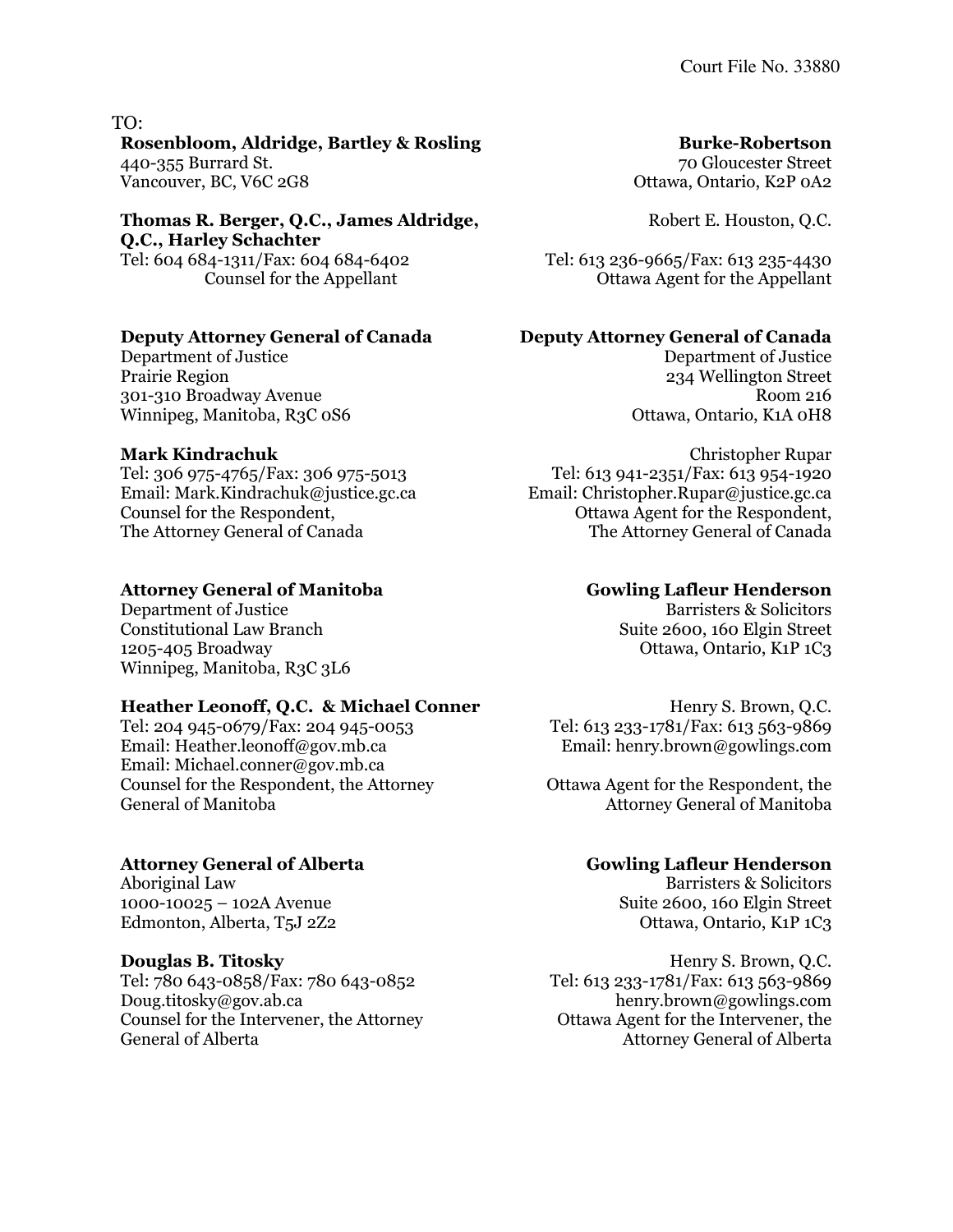## TO:

**Rosenbloom, Aldridge, Bartley & Rosling The Construction Burke-Robertson** 440-355 Burrard St. 70 Gloucester Street Vancouver, BC, V6C 2G8 COMPUTE: CONSERVENTING MANAGEMENT Oftawa, Ontario, K2P 0A2

**Thomas R. Berger, Q.C., James Aldridge, Q.C., Harley Schachter** Tel: 604 684-1311/Fax: 604 684-6402 Tel: 613 236-9665/Fax: 613 235-4430

# **Deputy Attorney General of Canada Deputy Attorney General of Canada**

Department of Justice Department of Justice Prairie Region 234 Wellington Street 301-310 Broadway Avenue Room 216 Winnipeg, Manitoba, R3C 0S6 **Ottawa, Ontario, K1A 0H8** 

Counsel for the Respondent, The Attorney General of Canada

# Attorney General of Manitoba<br>
Gowling Lafleur Henderson

**Department of Justice Barristers & Solicitors** Constitutional Law Branch Suite 2600, 160 Elgin Street 1205-405 Broadway Ottawa, Ontario, K1P 1C3 Winnipeg, Manitoba, R3C 3L6

# Heather Leonoff, Q.C. & Michael Conner<br>
Henry S. Brown, Q.C.

Tel: 204 945-0679/Fax: 204 945-0053 Tel: 613 233-1781/Fax: 613 563-9869 Email: Heather.leonoff@gov.mb.ca Email: henry.brown@gowlings.com Email: Michael.conner@gov.mb.ca Counsel for the Respondent, the Attorney General of Manitoba

1000-10025 – 102A Avenue Suite 2600, 160 Elgin Street Edmonton, Alberta, T5J 2Z2 Ottawa, Ontario, K1P 1C3

Tel: 780 643-0858/Fax: 780 643-0852 Tel: 613 233-1781/Fax: 613 563-9869 Doug.titosky@gov.ab.ca henry.brown@gowlings.com Counsel for the Intervener, the Attorney General of Alberta

Robert E. Houston, Q.C.

Counsel for the Appellant Ottawa Agent for the Appellant

**Mark Kindrachuk** Christopher Rupar Tel: 306 975-4765/Fax: 306 975-5013 Tel: 613 941-2351/Fax: 613 954-1920 Email: Mark.Kindrachuk@justice.gc.ca Email: Christopher.Rupar@justice.gc.ca Ottawa Agent for the Respondent, The Attorney General of Canada

Ottawa Agent for the Respondent, the Attorney General of Manitoba

# Attorney General of Alberta **Gowling Lafleur Henderson**

Aboriginal Law Barristers & Solicitors

**Douglas B. Titosky Henry S. Brown, Q.C. Henry S. Brown, Q.C.** Ottawa Agent for the Intervener, the Attorney General of Alberta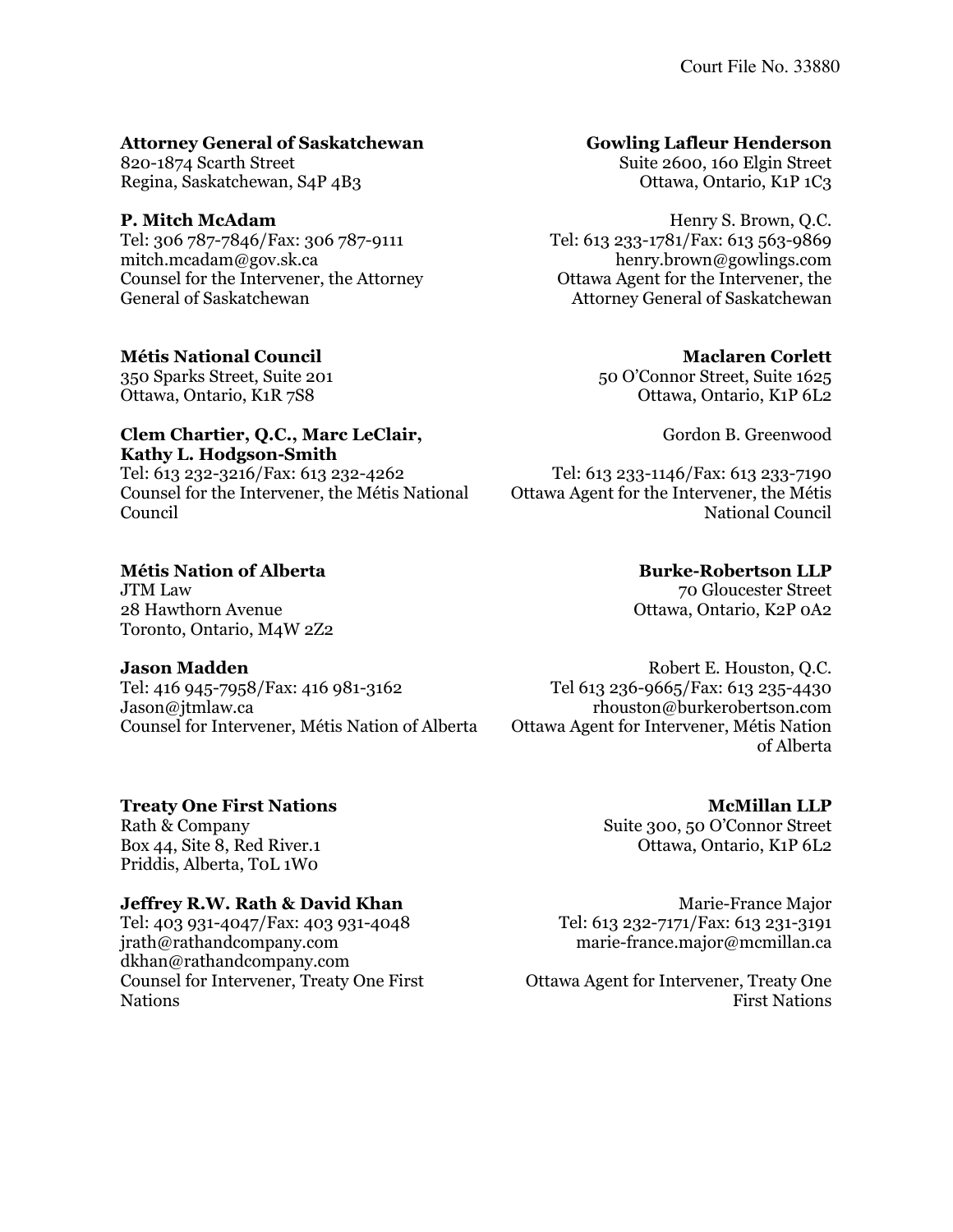## **Attorney General of Saskatchewan Gowling Lafleur Henderson**

820-1874 Scarth Street Suite 2600, 160 Elgin Street Regina, Saskatchewan, S4P 4B3 (and the control of the control of tawa, Ontario, K1P 1C3)

mitch.mcadam@gov.sk.ca henry.brown@gowlings.com Counsel for the Intervener, the Attorney General of Saskatchewan

## **Métis National Council Maclaren Corlett**

### **Clem Chartier, Q.C., Marc LeClair, Kathy L. Hodgson-Smith**

Tel: 613 232-3216/Fax: 613 232-4262 Tel: 613 233-1146/Fax: 613 233-7190 Counsel for the Intervener, the Métis National Council

## **Métis Nation of Alberta Burke-Robertson LLP**

JTM Law 70 Gloucester Street 28 Hawthorn Avenue **Ottawa, Ontario, K2P 0A2** Toronto, Ontario, M4W 2Z2

Tel: 416 945-7958/Fax: 416 981-3162 Tel 613 236-9665/Fax: 613 235-4430 Jason@jtmlaw.ca rhouston@burkerobertson.com Counsel for Intervener, Métis Nation of Alberta Ottawa Agent for Intervener, Métis Nation

**P. Mitch McAdam Henry S. Brown, Q.C. Henry S. Brown, Q.C.** Tel: 306 787-7846/Fax: 306 787-9111 Tel: 613 233-1781/Fax: 613 563-9869 Ottawa Agent for the Intervener, the Attorney General of Saskatchewan

350 Sparks Street, Suite 201 50 O'Connor Street, Suite 1625 Ottawa, Ontario, K1R 7S8 Ottawa, Ontario, K1P 6L2

Gordon B. Greenwood

Ottawa Agent for the Intervener, the Métis National Council

**Jason Madden Robert E. Houston, Q.C. Robert E. Houston, Q.C.** of Alberta

Rath & Company Suite 300, 50 O'Connor Street Box 44, Site 8, Red River.1 Club 8, 2012 11:30 Ottawa, Ontario, K1P 6L2

**Jeffrey R.W. Rath & David Khan** Marie-France Major

Ottawa Agent for Intervener, Treaty One First Nations

# **Treaty One First Nations McMillan LLP**

Priddis, Alberta, T0L 1W0

Tel: 403 931-4047/Fax: 403 931-4048 Tel: 613 232-7171/Fax: 613 231-3191 jrath@rathandcompany.com marie-france.major@mcmillan.ca dkhan@rathandcompany.com Counsel for Intervener, Treaty One First Nations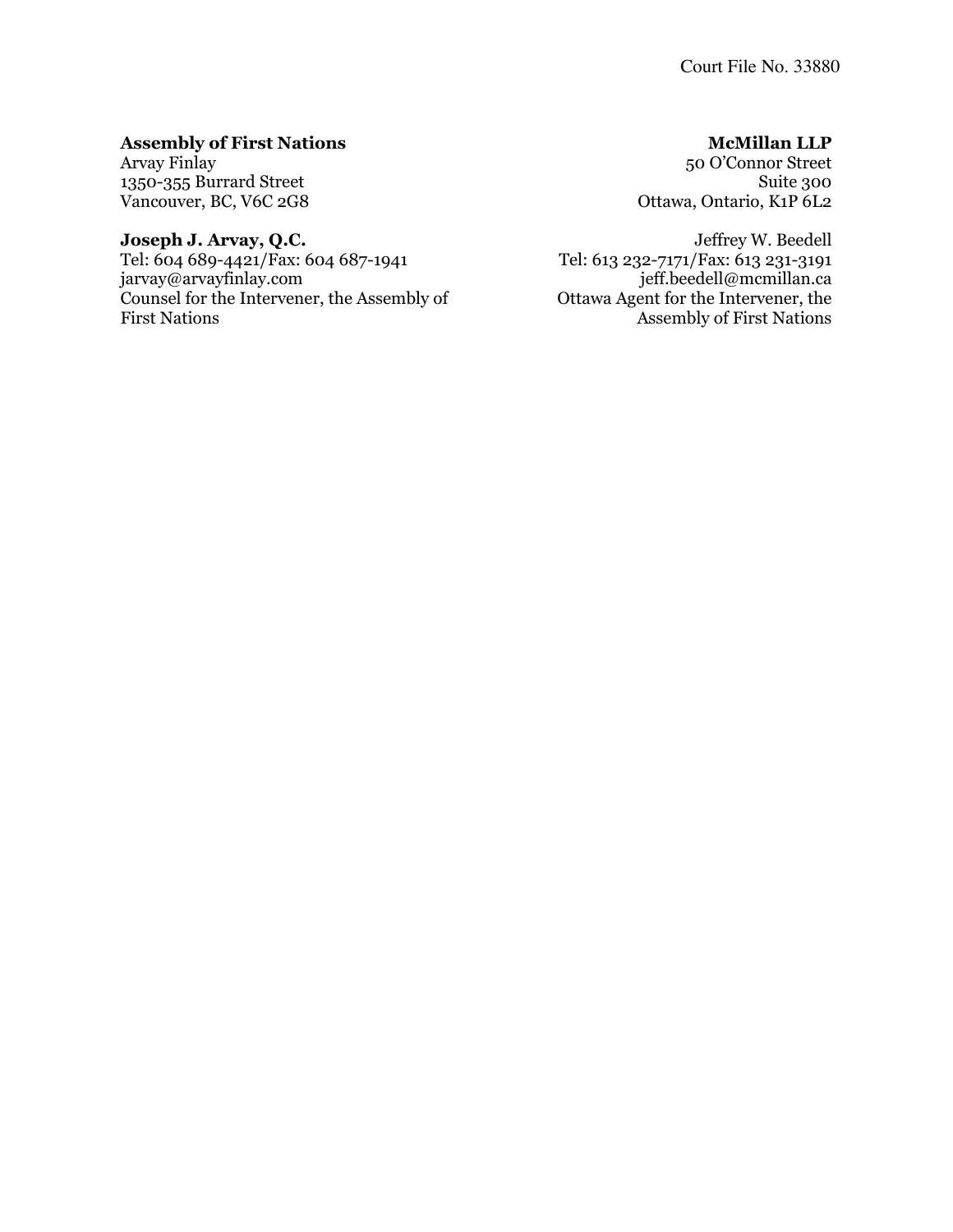# Assembly of First Nations **McMillan** LLP

Tel: 604 689-4421/Fax: 604 687-1941 Tel: 613 232-7171/Fax: 613 231-3191 Counsel for the Intervener, the Assembly of First Nations

Arvay Finlay 50 O'Connor Street 1350-355 Burrard Street Suite 300 Vancouver, BC, V6C 2G8 Ottawa, Ontario, K1P 6L2

**Joseph J. Arvay, Q.C.** Jeffrey W. Beedell jeff.beedell@mcmillan.ca Ottawa Agent for the Intervener, the Assembly of First Nations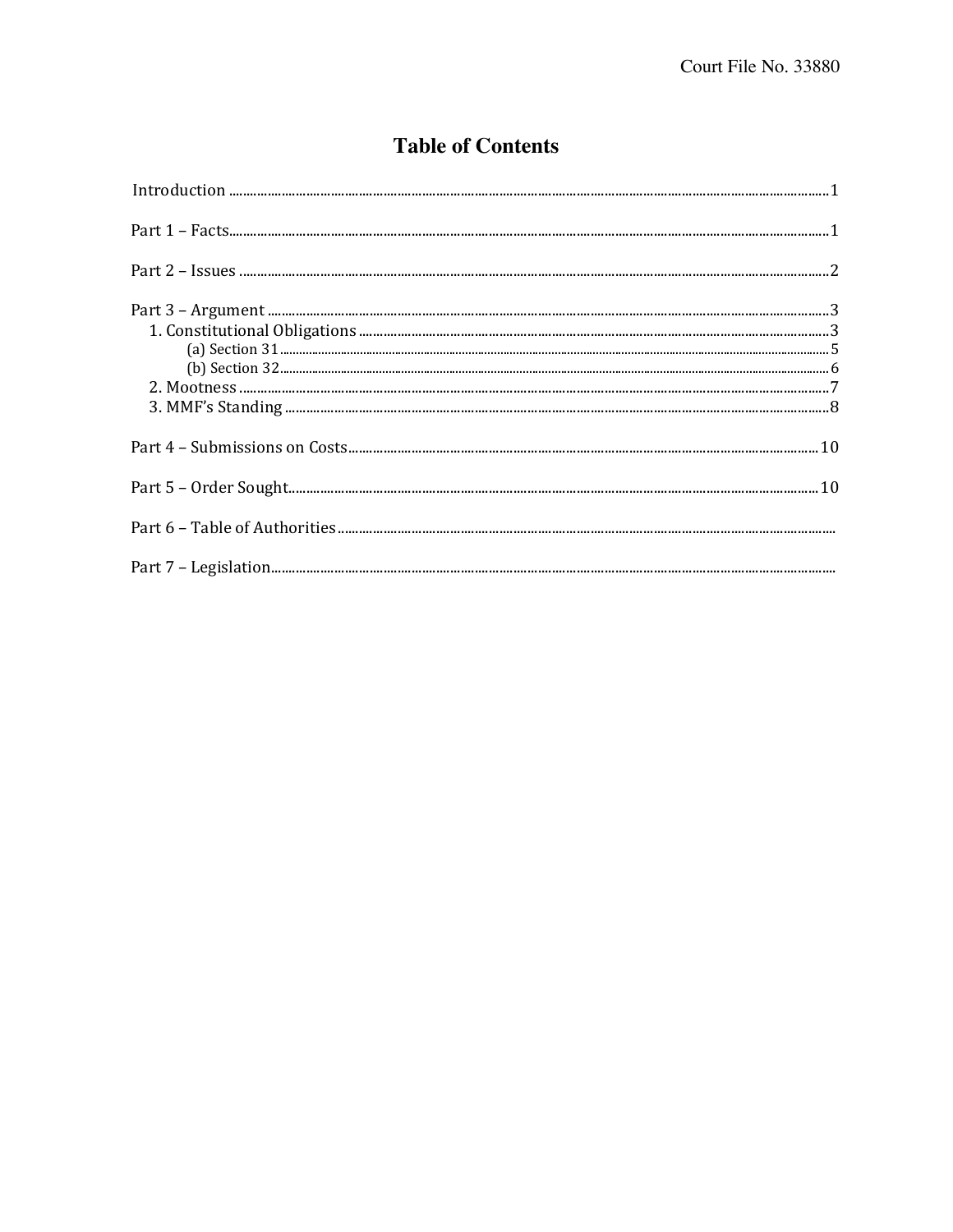# **Table of Contents**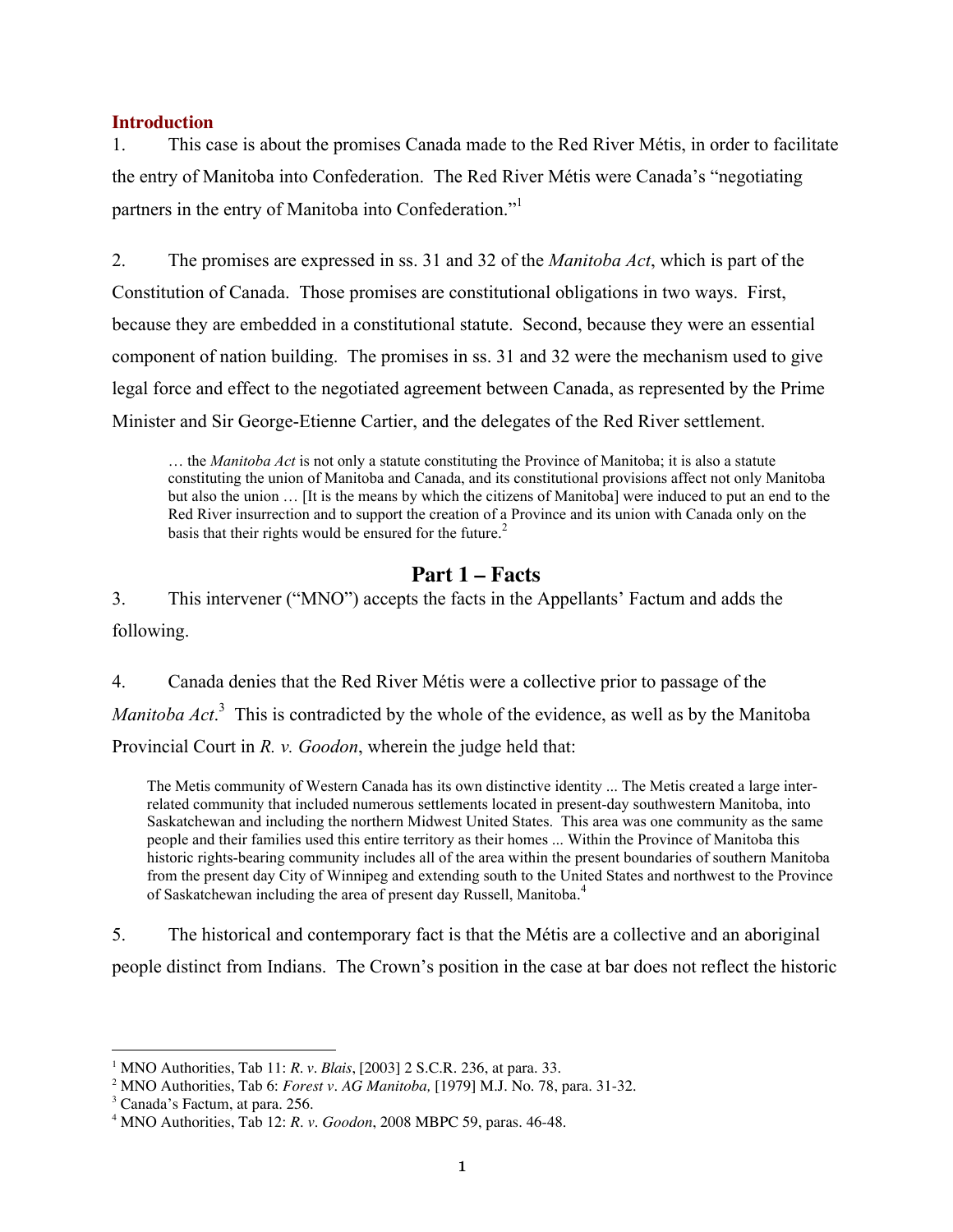### **Introduction**

1. This case is about the promises Canada made to the Red River Métis, in order to facilitate the entry of Manitoba into Confederation. The Red River Métis were Canada's "negotiating partners in the entry of Manitoba into Confederation."<sup>1</sup>

2. The promises are expressed in ss. 31 and 32 of the *Manitoba Act*, which is part of the Constitution of Canada. Those promises are constitutional obligations in two ways. First, because they are embedded in a constitutional statute. Second, because they were an essential component of nation building. The promises in ss. 31 and 32 were the mechanism used to give legal force and effect to the negotiated agreement between Canada, as represented by the Prime Minister and Sir George-Etienne Cartier, and the delegates of the Red River settlement.

… the *Manitoba Act* is not only a statute constituting the Province of Manitoba; it is also a statute constituting the union of Manitoba and Canada, and its constitutional provisions affect not only Manitoba but also the union … [It is the means by which the citizens of Manitoba] were induced to put an end to the Red River insurrection and to support the creation of a Province and its union with Canada only on the basis that their rights would be ensured for the future.<sup>2</sup>

# **Part 1 – Facts**

3. This intervener ("MNO") accepts the facts in the Appellants' Factum and adds the following.

4. Canada denies that the Red River Métis were a collective prior to passage of the *Manitoba Act*. 3 This is contradicted by the whole of the evidence, as well as by the Manitoba Provincial Court in *R. v. Goodon*, wherein the judge held that:

The Metis community of Western Canada has its own distinctive identity ... The Metis created a large interrelated community that included numerous settlements located in present-day southwestern Manitoba, into Saskatchewan and including the northern Midwest United States. This area was one community as the same people and their families used this entire territory as their homes ... Within the Province of Manitoba this historic rights-bearing community includes all of the area within the present boundaries of southern Manitoba from the present day City of Winnipeg and extending south to the United States and northwest to the Province of Saskatchewan including the area of present day Russell, Manitoba. 4

5. The historical and contemporary fact is that the Métis are a collective and an aboriginal people distinct from Indians. The Crown's position in the case at bar does not reflect the historic

<sup>1</sup> MNO Authorities, Tab 11: *R. v. Blais*, [2003] 2 S.C.R. 236, at para. 33.

<sup>2</sup> MNO Authorities, Tab 6: *Forest v. AG Manitoba,* [1979] M.J. No. 78, para. 31-32.

<sup>&</sup>lt;sup>3</sup> Canada's Factum, at para. 256.

<sup>4</sup> MNO Authorities, Tab 12: *R. v. Goodon*, 2008 MBPC 59, paras. 46-48.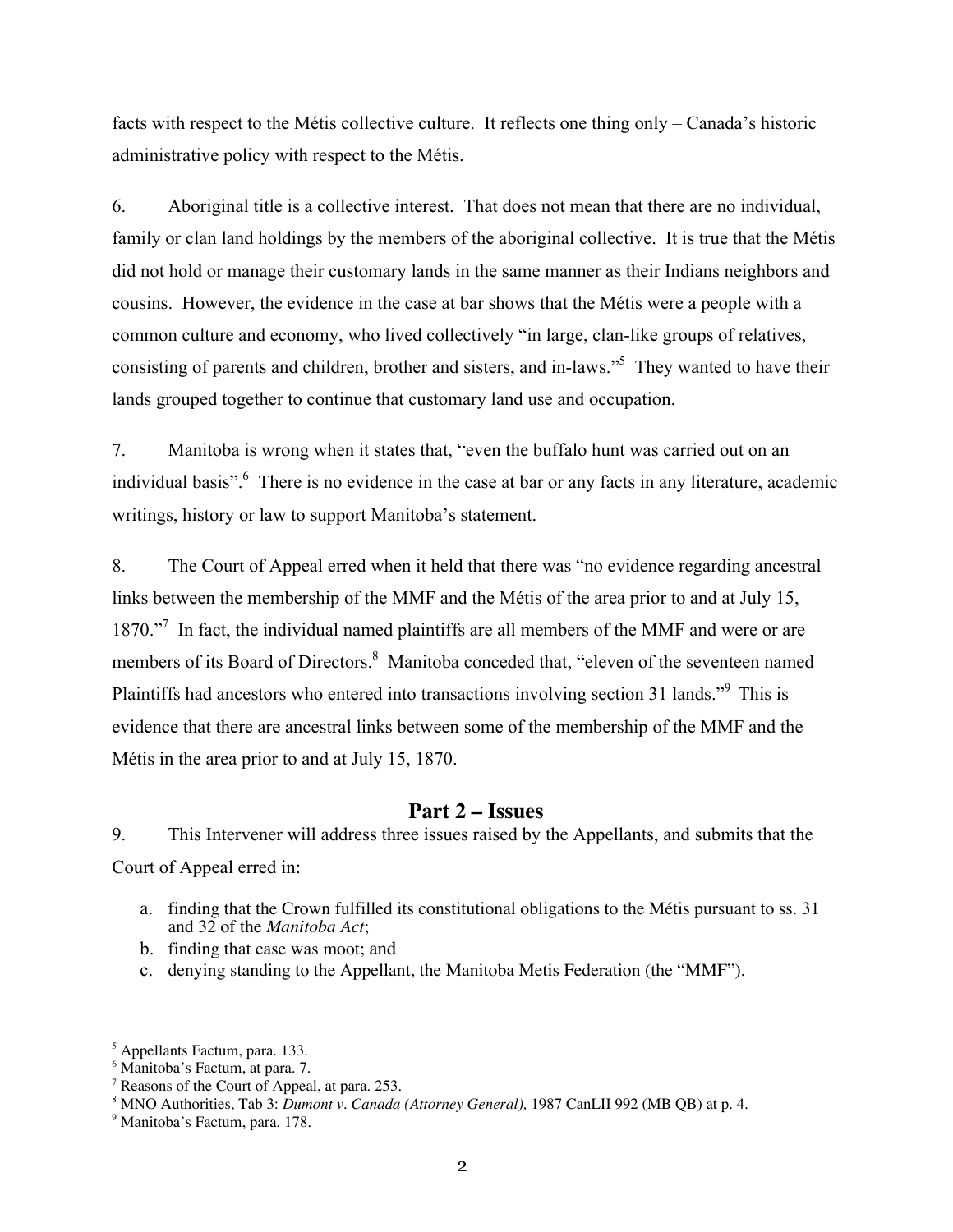facts with respect to the Métis collective culture. It reflects one thing only – Canada's historic administrative policy with respect to the Métis.

6. Aboriginal title is a collective interest. That does not mean that there are no individual, family or clan land holdings by the members of the aboriginal collective. It is true that the Métis did not hold or manage their customary lands in the same manner as their Indians neighbors and cousins. However, the evidence in the case at bar shows that the Métis were a people with a common culture and economy, who lived collectively "in large, clan-like groups of relatives, consisting of parents and children, brother and sisters, and in-laws."<sup>5</sup> They wanted to have their lands grouped together to continue that customary land use and occupation.

7. Manitoba is wrong when it states that, "even the buffalo hunt was carried out on an individual basis". <sup>6</sup> There is no evidence in the case at bar or any facts in any literature, academic writings, history or law to support Manitoba's statement.

8. The Court of Appeal erred when it held that there was "no evidence regarding ancestral links between the membership of the MMF and the Métis of the area prior to and at July 15, 1870."<sup>7</sup> In fact, the individual named plaintiffs are all members of the MMF and were or are members of its Board of Directors.<sup>8</sup> Manitoba conceded that, "eleven of the seventeen named Plaintiffs had ancestors who entered into transactions involving section 31 lands."<sup>9</sup> This is evidence that there are ancestral links between some of the membership of the MMF and the Métis in the area prior to and at July 15, 1870.

# **Part 2 – Issues**

9. This Intervener will address three issues raised by the Appellants, and submits that the Court of Appeal erred in:

- a. finding that the Crown fulfilled its constitutional obligations to the Métis pursuant to ss. 31 and 32 of the *Manitoba Act*;
- b. finding that case was moot; and
- c. denying standing to the Appellant, the Manitoba Metis Federation (the "MMF").

 $\overline{a}$ 5 Appellants Factum, para. 133.

<sup>6</sup> Manitoba's Factum, at para. 7.

<sup>&</sup>lt;sup>7</sup> Reasons of the Court of Appeal, at para. 253.

<sup>8</sup> MNO Authorities, Tab 3: *Dumont v. Canada (Attorney General),* 1987 CanLII 992 (MB QB) at p. 4.

<sup>9</sup> Manitoba's Factum, para. 178.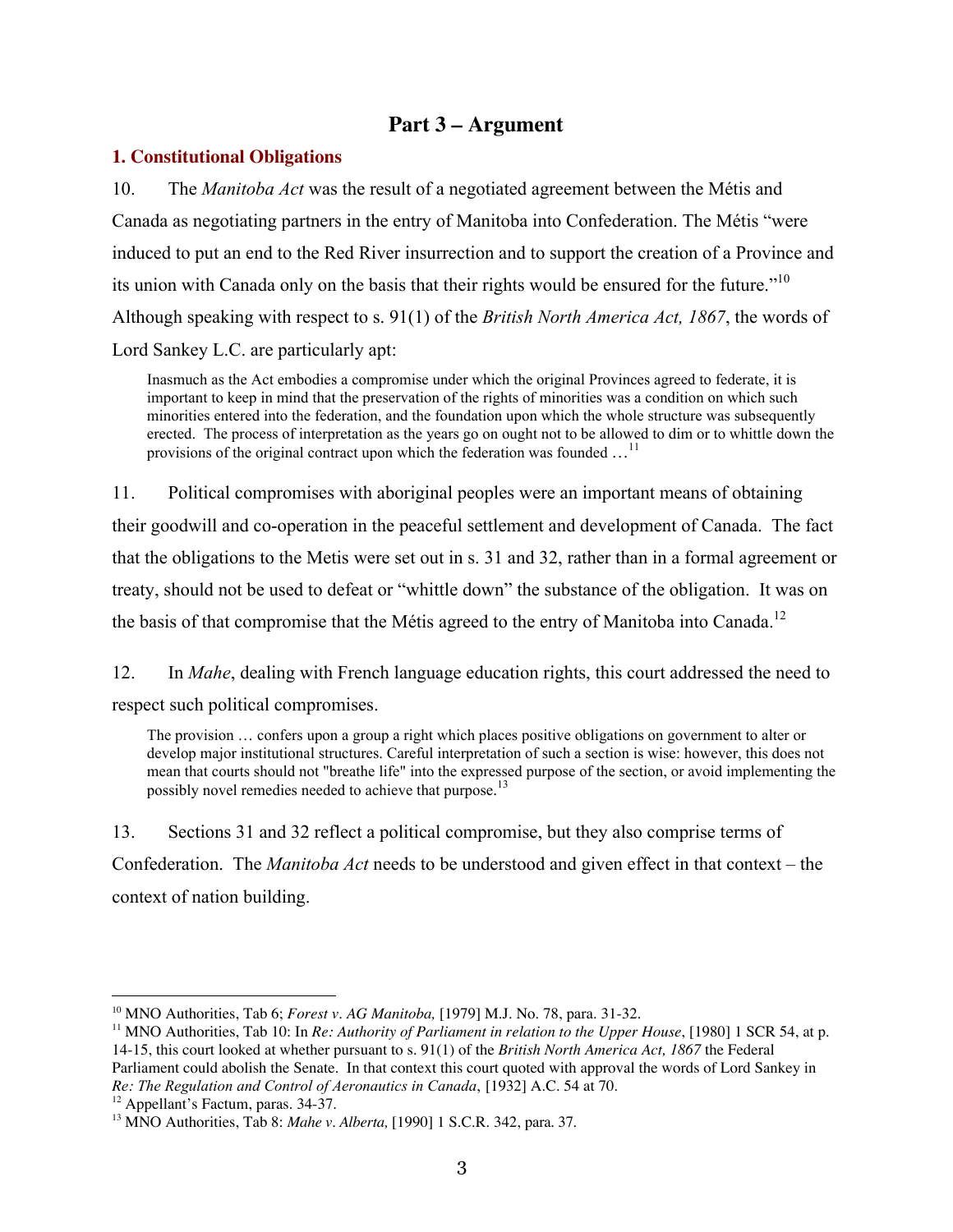# **Part 3 – Argument**

# **1. Constitutional Obligations**

10. The *Manitoba Act* was the result of a negotiated agreement between the Métis and Canada as negotiating partners in the entry of Manitoba into Confederation. The Métis "were induced to put an end to the Red River insurrection and to support the creation of a Province and its union with Canada only on the basis that their rights would be ensured for the future." $10$ Although speaking with respect to s. 91(1) of the *British North America Act, 1867*, the words of Lord Sankey L.C. are particularly apt:

Inasmuch as the Act embodies a compromise under which the original Provinces agreed to federate, it is important to keep in mind that the preservation of the rights of minorities was a condition on which such minorities entered into the federation, and the foundation upon which the whole structure was subsequently erected. The process of interpretation as the years go on ought not to be allowed to dim or to whittle down the provisions of the original contract upon which the federation was founded  $\dots$ <sup>11</sup>

11. Political compromises with aboriginal peoples were an important means of obtaining their goodwill and co-operation in the peaceful settlement and development of Canada. The fact that the obligations to the Metis were set out in s. 31 and 32, rather than in a formal agreement or treaty, should not be used to defeat or "whittle down" the substance of the obligation. It was on the basis of that compromise that the Métis agreed to the entry of Manitoba into Canada.<sup>12</sup>

12. In *Mahe*, dealing with French language education rights, this court addressed the need to respect such political compromises.

The provision … confers upon a group a right which places positive obligations on government to alter or develop major institutional structures. Careful interpretation of such a section is wise: however, this does not mean that courts should not "breathe life" into the expressed purpose of the section, or avoid implementing the possibly novel remedies needed to achieve that purpose.<sup>13</sup>

13. Sections 31 and 32 reflect a political compromise, but they also comprise terms of Confederation. The *Manitoba Act* needs to be understood and given effect in that context – the context of nation building.

 $\overline{a}$ <sup>10</sup> MNO Authorities, Tab 6; *Forest v. AG Manitoba,* [1979] M.J. No. 78, para. 31-32.

<sup>11</sup> MNO Authorities, Tab 10: In *Re: Authority of Parliament in relation to the Upper House*, [1980] 1 SCR 54, at p. 14-15, this court looked at whether pursuant to s. 91(1) of the *British North America Act, 1867* the Federal Parliament could abolish the Senate. In that context this court quoted with approval the words of Lord Sankey in *Re: The Regulation and Control of Aeronautics in Canada*, [1932] A.C. 54 at 70.

<sup>&</sup>lt;sup>12</sup> Appellant's Factum, paras. 34-37.

<sup>13</sup> MNO Authorities, Tab 8: *Mahe v. Alberta,* [1990] 1 S.C.R. 342, para. 37.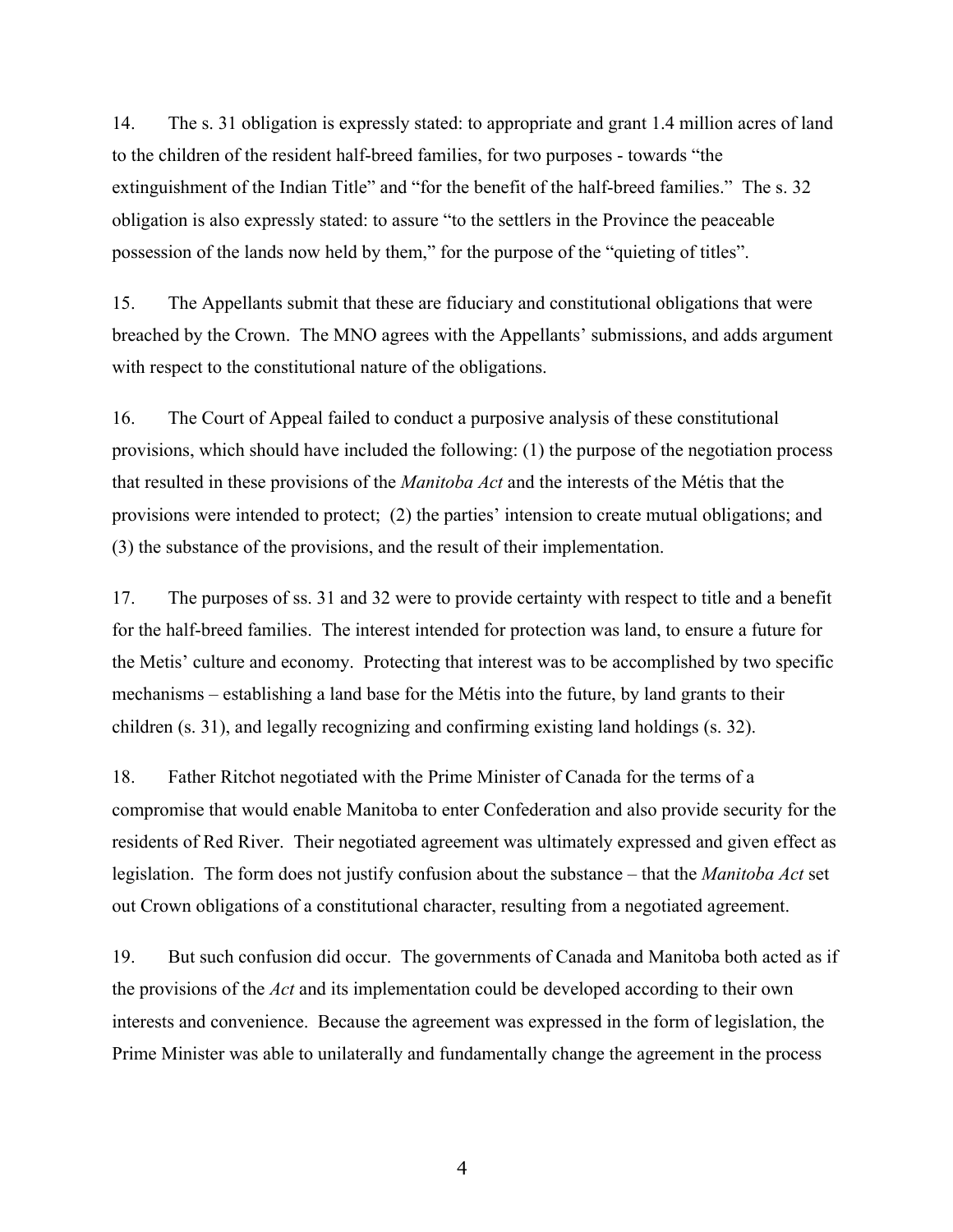14. The s. 31 obligation is expressly stated: to appropriate and grant 1.4 million acres of land to the children of the resident half-breed families, for two purposes - towards "the extinguishment of the Indian Title" and "for the benefit of the half-breed families." The s. 32 obligation is also expressly stated: to assure "to the settlers in the Province the peaceable possession of the lands now held by them," for the purpose of the "quieting of titles".

15. The Appellants submit that these are fiduciary and constitutional obligations that were breached by the Crown. The MNO agrees with the Appellants' submissions, and adds argument with respect to the constitutional nature of the obligations.

16. The Court of Appeal failed to conduct a purposive analysis of these constitutional provisions, which should have included the following: (1) the purpose of the negotiation process that resulted in these provisions of the *Manitoba Act* and the interests of the Métis that the provisions were intended to protect; (2) the parties' intension to create mutual obligations; and (3) the substance of the provisions, and the result of their implementation.

17. The purposes of ss. 31 and 32 were to provide certainty with respect to title and a benefit for the half-breed families. The interest intended for protection was land, to ensure a future for the Metis' culture and economy. Protecting that interest was to be accomplished by two specific mechanisms – establishing a land base for the Métis into the future, by land grants to their children (s. 31), and legally recognizing and confirming existing land holdings (s. 32).

18. Father Ritchot negotiated with the Prime Minister of Canada for the terms of a compromise that would enable Manitoba to enter Confederation and also provide security for the residents of Red River. Their negotiated agreement was ultimately expressed and given effect as legislation. The form does not justify confusion about the substance – that the *Manitoba Act* set out Crown obligations of a constitutional character, resulting from a negotiated agreement.

19. But such confusion did occur. The governments of Canada and Manitoba both acted as if the provisions of the *Act* and its implementation could be developed according to their own interests and convenience. Because the agreement was expressed in the form of legislation, the Prime Minister was able to unilaterally and fundamentally change the agreement in the process

4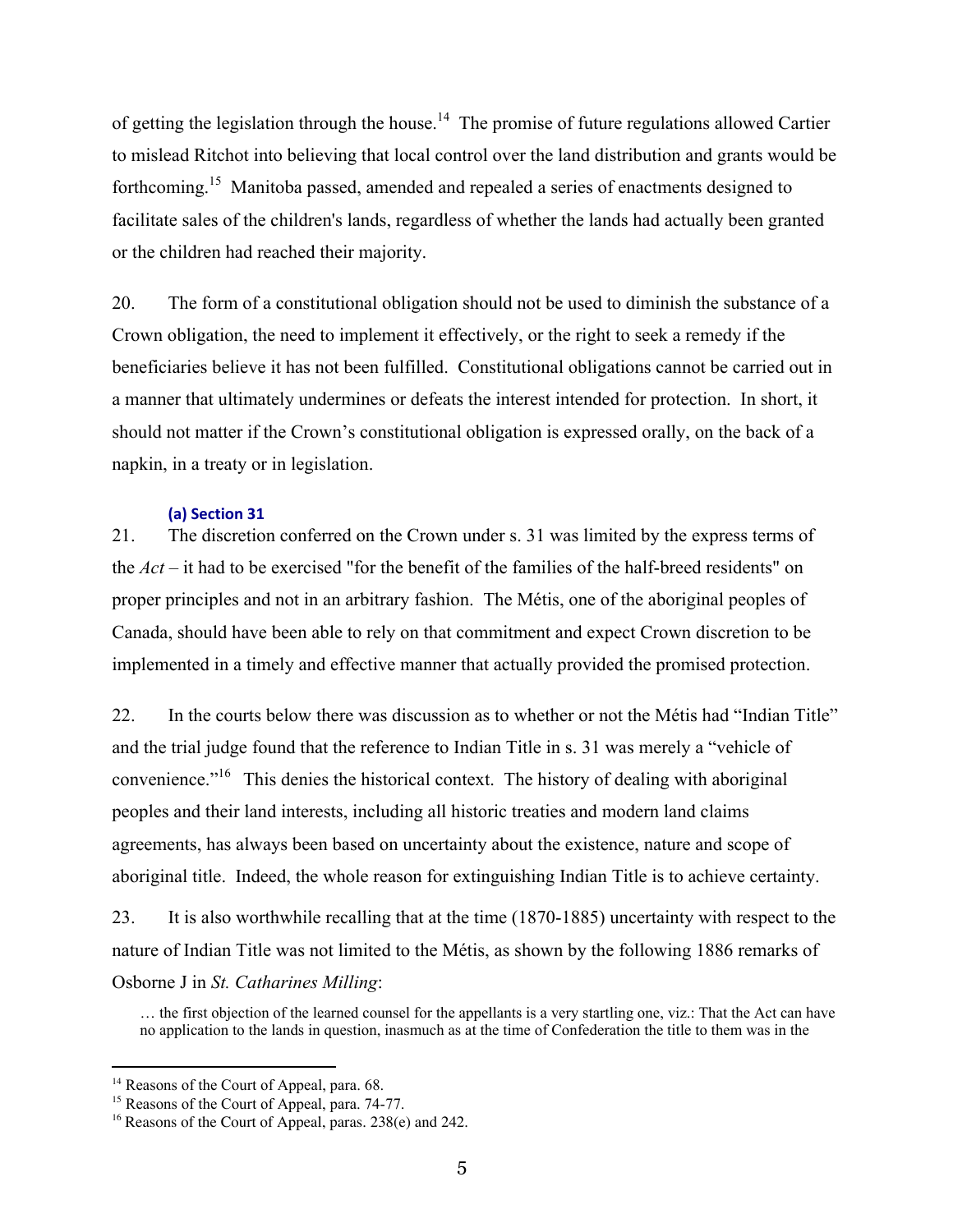of getting the legislation through the house.<sup>14</sup> The promise of future regulations allowed Cartier to mislead Ritchot into believing that local control over the land distribution and grants would be forthcoming.<sup>15</sup> Manitoba passed, amended and repealed a series of enactments designed to facilitate sales of the children's lands, regardless of whether the lands had actually been granted or the children had reached their majority.

20. The form of a constitutional obligation should not be used to diminish the substance of a Crown obligation, the need to implement it effectively, or the right to seek a remedy if the beneficiaries believe it has not been fulfilled. Constitutional obligations cannot be carried out in a manner that ultimately undermines or defeats the interest intended for protection. In short, it should not matter if the Crown's constitutional obligation is expressed orally, on the back of a napkin, in a treaty or in legislation.

### **(a) Section 31**

21. The discretion conferred on the Crown under s. 31 was limited by the express terms of the *Act* – it had to be exercised "for the benefit of the families of the half-breed residents" on proper principles and not in an arbitrary fashion. The Métis, one of the aboriginal peoples of Canada, should have been able to rely on that commitment and expect Crown discretion to be implemented in a timely and effective manner that actually provided the promised protection.

22. In the courts below there was discussion as to whether or not the Métis had "Indian Title" and the trial judge found that the reference to Indian Title in s. 31 was merely a "vehicle of convenience."<sup>16</sup> This denies the historical context. The history of dealing with aboriginal peoples and their land interests, including all historic treaties and modern land claims agreements, has always been based on uncertainty about the existence, nature and scope of aboriginal title. Indeed, the whole reason for extinguishing Indian Title is to achieve certainty.

23. It is also worthwhile recalling that at the time (1870-1885) uncertainty with respect to the nature of Indian Title was not limited to the Métis, as shown by the following 1886 remarks of Osborne J in *St. Catharines Milling*:

… the first objection of the learned counsel for the appellants is a very startling one, viz.: That the Act can have no application to the lands in question, inasmuch as at the time of Confederation the title to them was in the

<sup>&</sup>lt;sup>14</sup> Reasons of the Court of Appeal, para. 68.

<sup>&</sup>lt;sup>15</sup> Reasons of the Court of Appeal, para. 74-77.

<sup>&</sup>lt;sup>16</sup> Reasons of the Court of Appeal, paras.  $238(e)$  and  $242$ .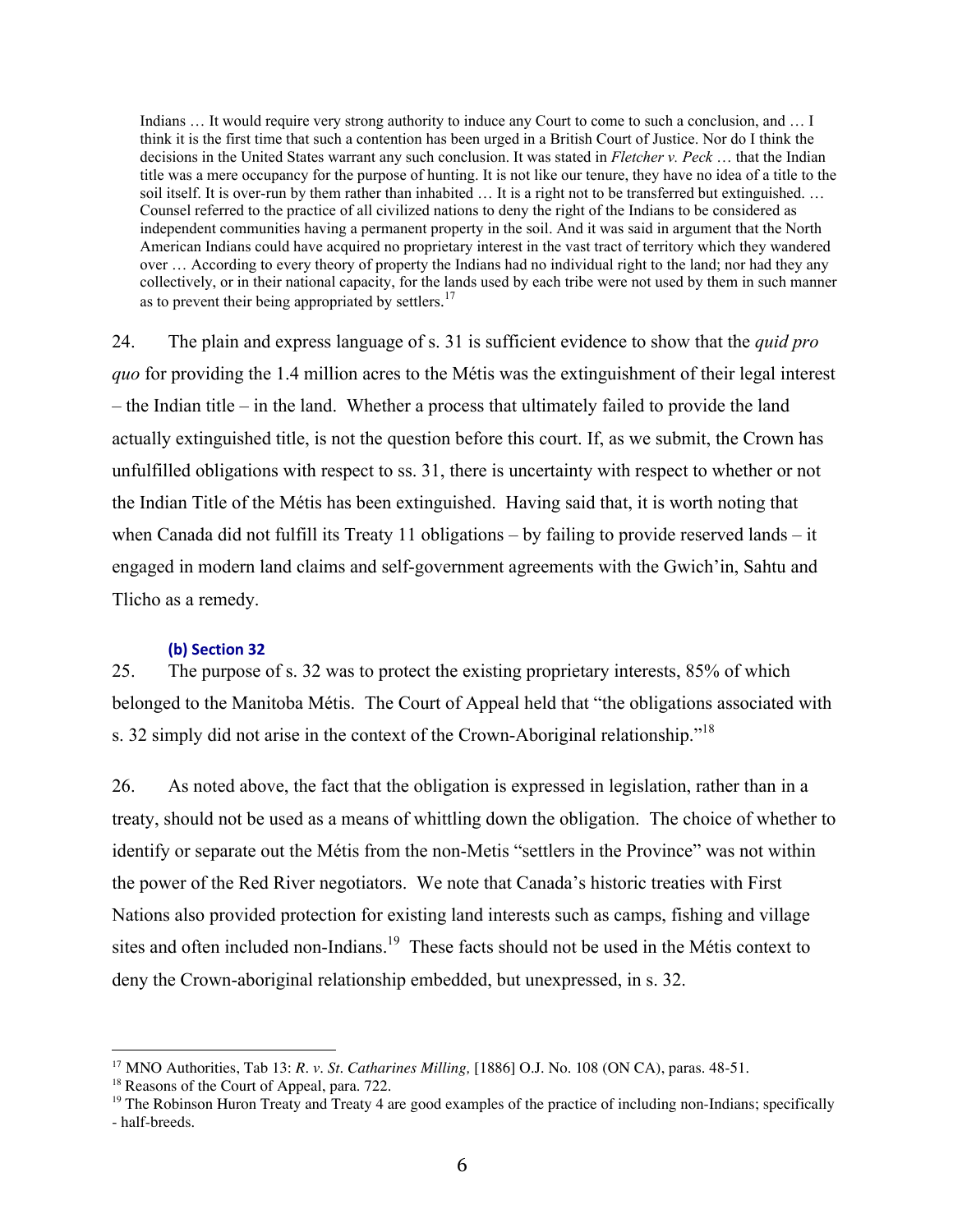Indians ... It would require very strong authority to induce any Court to come to such a conclusion, and ... I think it is the first time that such a contention has been urged in a British Court of Justice. Nor do I think the decisions in the United States warrant any such conclusion. It was stated in *Fletcher v. Peck* … that the Indian title was a mere occupancy for the purpose of hunting. It is not like our tenure, they have no idea of a title to the soil itself. It is over-run by them rather than inhabited … It is a right not to be transferred but extinguished. … Counsel referred to the practice of all civilized nations to deny the right of the Indians to be considered as independent communities having a permanent property in the soil. And it was said in argument that the North American Indians could have acquired no proprietary interest in the vast tract of territory which they wandered over … According to every theory of property the Indians had no individual right to the land; nor had they any collectively, or in their national capacity, for the lands used by each tribe were not used by them in such manner as to prevent their being appropriated by settlers.<sup>17</sup>

24. The plain and express language of s. 31 is sufficient evidence to show that the *quid pro quo* for providing the 1.4 million acres to the Métis was the extinguishment of their legal interest – the Indian title – in the land. Whether a process that ultimately failed to provide the land actually extinguished title, is not the question before this court. If, as we submit, the Crown has unfulfilled obligations with respect to ss. 31, there is uncertainty with respect to whether or not the Indian Title of the Métis has been extinguished. Having said that, it is worth noting that when Canada did not fulfill its Treaty 11 obligations – by failing to provide reserved lands – it engaged in modern land claims and self-government agreements with the Gwich'in, Sahtu and Tlicho as a remedy.

### **(b)** Section 32

25. The purpose of s. 32 was to protect the existing proprietary interests, 85% of which belonged to the Manitoba Métis. The Court of Appeal held that "the obligations associated with s. 32 simply did not arise in the context of the Crown-Aboriginal relationship."18

26. As noted above, the fact that the obligation is expressed in legislation, rather than in a treaty, should not be used as a means of whittling down the obligation. The choice of whether to identify or separate out the Métis from the non-Metis "settlers in the Province" was not within the power of the Red River negotiators. We note that Canada's historic treaties with First Nations also provided protection for existing land interests such as camps, fishing and village sites and often included non-Indians.<sup>19</sup> These facts should not be used in the Métis context to deny the Crown-aboriginal relationship embedded, but unexpressed, in s. 32.

<sup>17</sup> MNO Authorities, Tab 13: *R. v. St. Catharines Milling,* [1886] O.J. No. 108 (ON CA), paras. 48-51.

<sup>&</sup>lt;sup>18</sup> Reasons of the Court of Appeal, para. 722.

<sup>&</sup>lt;sup>19</sup> The Robinson Huron Treaty and Treaty 4 are good examples of the practice of including non-Indians; specifically - half-breeds.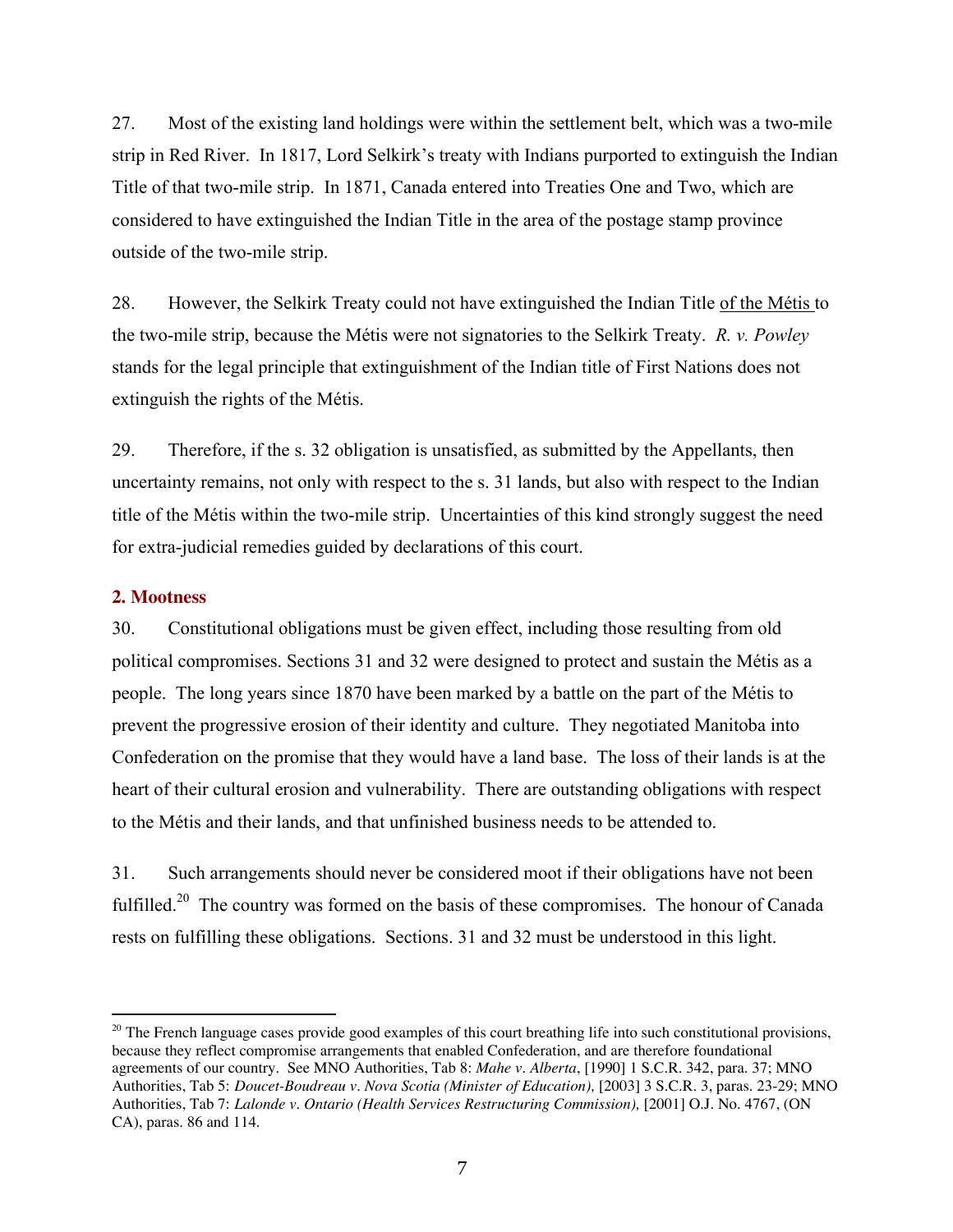27. Most of the existing land holdings were within the settlement belt, which was a two-mile strip in Red River. In 1817, Lord Selkirk's treaty with Indians purported to extinguish the Indian Title of that two-mile strip. In 1871, Canada entered into Treaties One and Two, which are considered to have extinguished the Indian Title in the area of the postage stamp province outside of the two-mile strip.

28. However, the Selkirk Treaty could not have extinguished the Indian Title of the Métis to the two-mile strip, because the Métis were not signatories to the Selkirk Treaty. *R. v. Powley* stands for the legal principle that extinguishment of the Indian title of First Nations does not extinguish the rights of the Métis.

29. Therefore, if the s. 32 obligation is unsatisfied, as submitted by the Appellants, then uncertainty remains, not only with respect to the s. 31 lands, but also with respect to the Indian title of the Métis within the two-mile strip. Uncertainties of this kind strongly suggest the need for extra-judicial remedies guided by declarations of this court.

### **2. Mootness**

 $\overline{a}$ 

30. Constitutional obligations must be given effect, including those resulting from old political compromises. Sections 31 and 32 were designed to protect and sustain the Métis as a people. The long years since 1870 have been marked by a battle on the part of the Métis to prevent the progressive erosion of their identity and culture. They negotiated Manitoba into Confederation on the promise that they would have a land base. The loss of their lands is at the heart of their cultural erosion and vulnerability. There are outstanding obligations with respect to the Métis and their lands, and that unfinished business needs to be attended to.

31. Such arrangements should never be considered moot if their obligations have not been fulfilled.<sup>20</sup> The country was formed on the basis of these compromises. The honour of Canada rests on fulfilling these obligations. Sections. 31 and 32 must be understood in this light.

 $20$  The French language cases provide good examples of this court breathing life into such constitutional provisions, because they reflect compromise arrangements that enabled Confederation, and are therefore foundational agreements of our country. See MNO Authorities, Tab 8: *Mahe v. Alberta*, [1990] 1 S.C.R. 342, para. 37; MNO Authorities, Tab 5: *Doucet-Boudreau v. Nova Scotia (Minister of Education),* [2003] 3 S.C.R. 3, paras. 23-29; MNO Authorities, Tab 7: *Lalonde v. Ontario (Health Services Restructuring Commission),* [2001] O.J. No. 4767, (ON CA), paras. 86 and 114.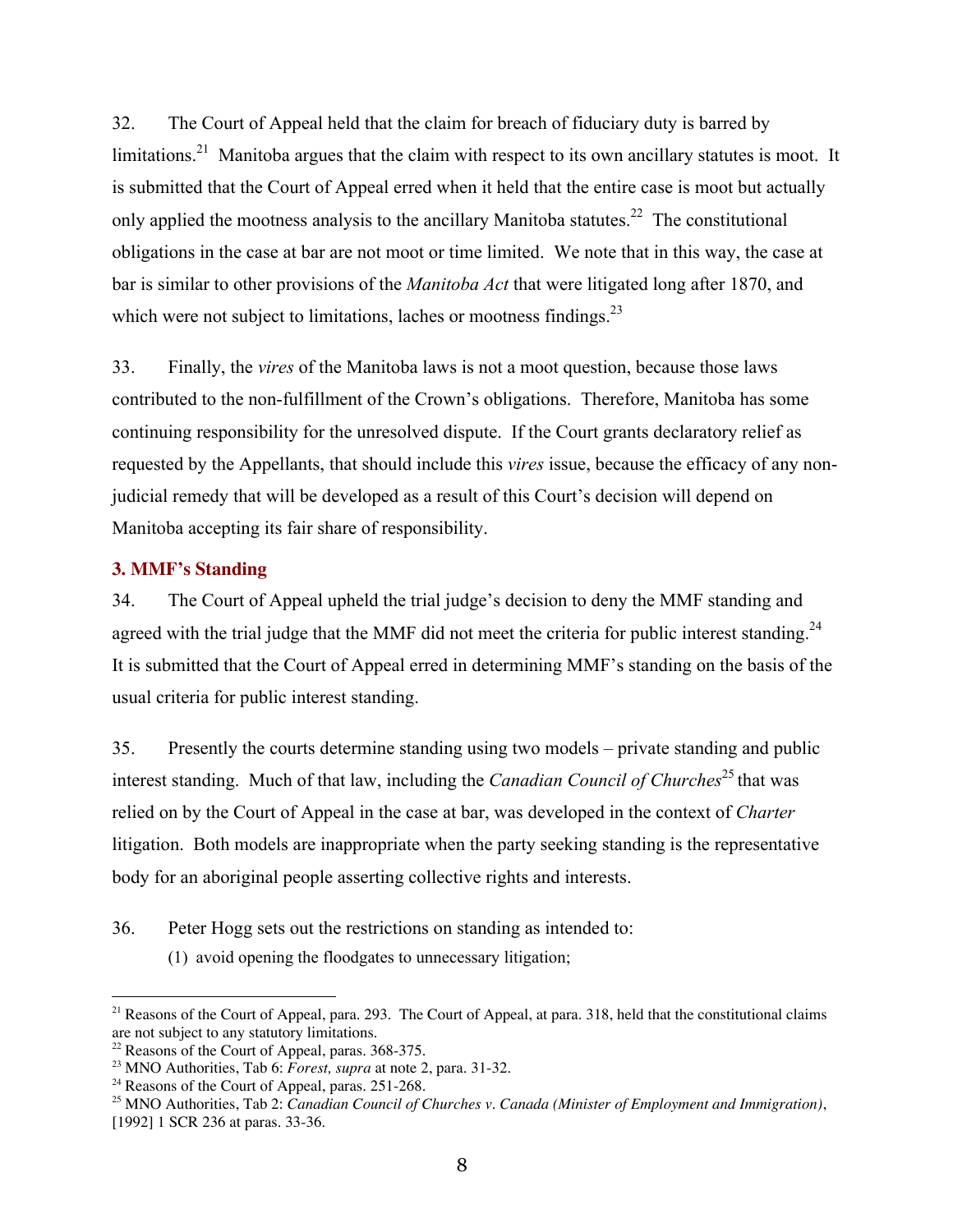32. The Court of Appeal held that the claim for breach of fiduciary duty is barred by limitations.<sup>21</sup> Manitoba argues that the claim with respect to its own ancillary statutes is moot. It is submitted that the Court of Appeal erred when it held that the entire case is moot but actually only applied the mootness analysis to the ancillary Manitoba statutes.<sup>22</sup> The constitutional obligations in the case at bar are not moot or time limited. We note that in this way, the case at bar is similar to other provisions of the *Manitoba Act* that were litigated long after 1870, and which were not subject to limitations, laches or mootness findings. $^{23}$ 

33. Finally, the *vires* of the Manitoba laws is not a moot question, because those laws contributed to the non-fulfillment of the Crown's obligations. Therefore, Manitoba has some continuing responsibility for the unresolved dispute. If the Court grants declaratory relief as requested by the Appellants, that should include this *vires* issue, because the efficacy of any nonjudicial remedy that will be developed as a result of this Court's decision will depend on Manitoba accepting its fair share of responsibility.

# **3. MMF's Standing**

 $\overline{a}$ 

34. The Court of Appeal upheld the trial judge's decision to deny the MMF standing and agreed with the trial judge that the MMF did not meet the criteria for public interest standing.<sup>24</sup> It is submitted that the Court of Appeal erred in determining MMF's standing on the basis of the usual criteria for public interest standing.

35. Presently the courts determine standing using two models – private standing and public interest standing. Much of that law, including the *Canadian Council of Churches* <sup>25</sup> that was relied on by the Court of Appeal in the case at bar, was developed in the context of *Charter*  litigation. Both models are inappropriate when the party seeking standing is the representative body for an aboriginal people asserting collective rights and interests.

# 36. Peter Hogg sets out the restrictions on standing as intended to:

(1) avoid opening the floodgates to unnecessary litigation;

 $21$  Reasons of the Court of Appeal, para. 293. The Court of Appeal, at para. 318, held that the constitutional claims are not subject to any statutory limitations.

<sup>22</sup> Reasons of the Court of Appeal, paras. 368-375.

<sup>&</sup>lt;sup>23</sup> MNO Authorities, Tab 6: *Forest, supra* at note 2, para. 31-32.<br><sup>24</sup> Reasons of the Court of Appeal, paras. 251-268.

<sup>25</sup> MNO Authorities, Tab 2: *Canadian Council of Churches v. Canada (Minister of Employment and Immigration)*, [1992] 1 SCR 236 at paras. 33-36.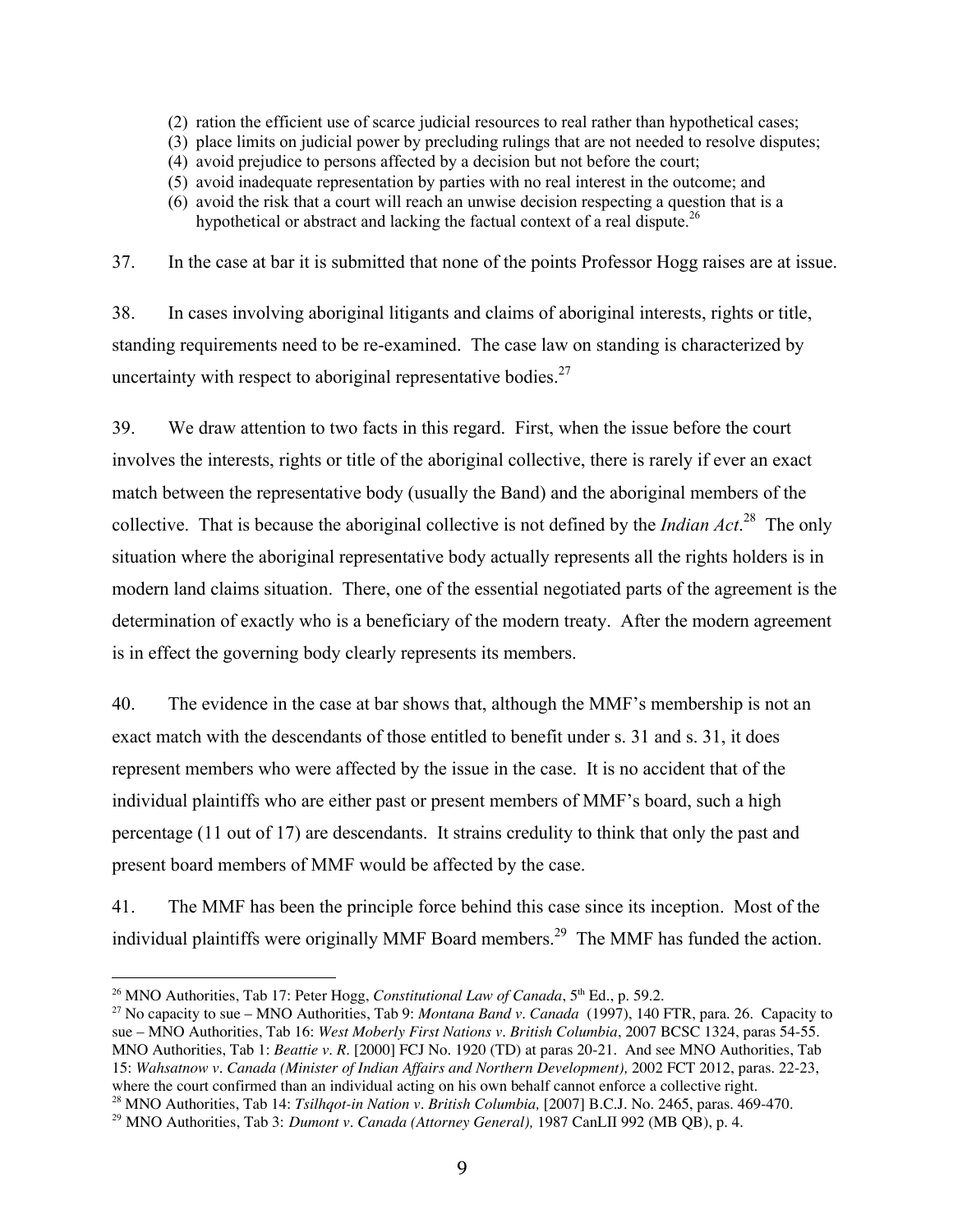- (2) ration the efficient use of scarce judicial resources to real rather than hypothetical cases;
- (3) place limits on judicial power by precluding rulings that are not needed to resolve disputes;
- (4) avoid prejudice to persons affected by a decision but not before the court;
- (5) avoid inadequate representation by parties with no real interest in the outcome; and
- (6) avoid the risk that a court will reach an unwise decision respecting a question that is a hypothetical or abstract and lacking the factual context of a real dispute.<sup>26</sup>

37. In the case at bar it is submitted that none of the points Professor Hogg raises are at issue.

38. In cases involving aboriginal litigants and claims of aboriginal interests, rights or title, standing requirements need to be re-examined. The case law on standing is characterized by uncertainty with respect to aboriginal representative bodies. $27$ 

39. We draw attention to two facts in this regard. First, when the issue before the court involves the interests, rights or title of the aboriginal collective, there is rarely if ever an exact match between the representative body (usually the Band) and the aboriginal members of the collective. That is because the aboriginal collective is not defined by the *Indian Act*. 28 The only situation where the aboriginal representative body actually represents all the rights holders is in modern land claims situation. There, one of the essential negotiated parts of the agreement is the determination of exactly who is a beneficiary of the modern treaty. After the modern agreement is in effect the governing body clearly represents its members.

40. The evidence in the case at bar shows that, although the MMF's membership is not an exact match with the descendants of those entitled to benefit under s. 31 and s. 31, it does represent members who were affected by the issue in the case. It is no accident that of the individual plaintiffs who are either past or present members of MMF's board, such a high percentage (11 out of 17) are descendants. It strains credulity to think that only the past and present board members of MMF would be affected by the case.

41. The MMF has been the principle force behind this case since its inception. Most of the individual plaintiffs were originally MMF Board members.<sup>29</sup> The MMF has funded the action.

<sup>&</sup>lt;sup>26</sup> MNO Authorities, Tab 17: Peter Hogg, *Constitutional Law of Canada*, 5<sup>th</sup> Ed., p. 59.2.

<sup>27</sup> No capacity to sue – MNO Authorities, Tab 9: *Montana Band v. Canada* (1997), 140 FTR, para. 26. Capacity to sue – MNO Authorities, Tab 16: *West Moberly First Nations v. British Columbia*, 2007 BCSC 1324, paras 54-55. MNO Authorities, Tab 1: *Beattie v. R.* [2000] FCJ No. 1920 (TD) at paras 20-21. And see MNO Authorities, Tab 15: *Wahsatnow v. Canada (Minister of Indian Affairs and Northern Development)*, 2002 FCT 2012, paras. 22-23, where the court confirmed than an individual acting on his own behalf cannot enforce a collective right. <sup>28</sup> MNO Authorities, Tab 14: *Tsilhqot-in Nation v. British Columbia*, [2007] B.C.J. No. 2465, paras. 469-470.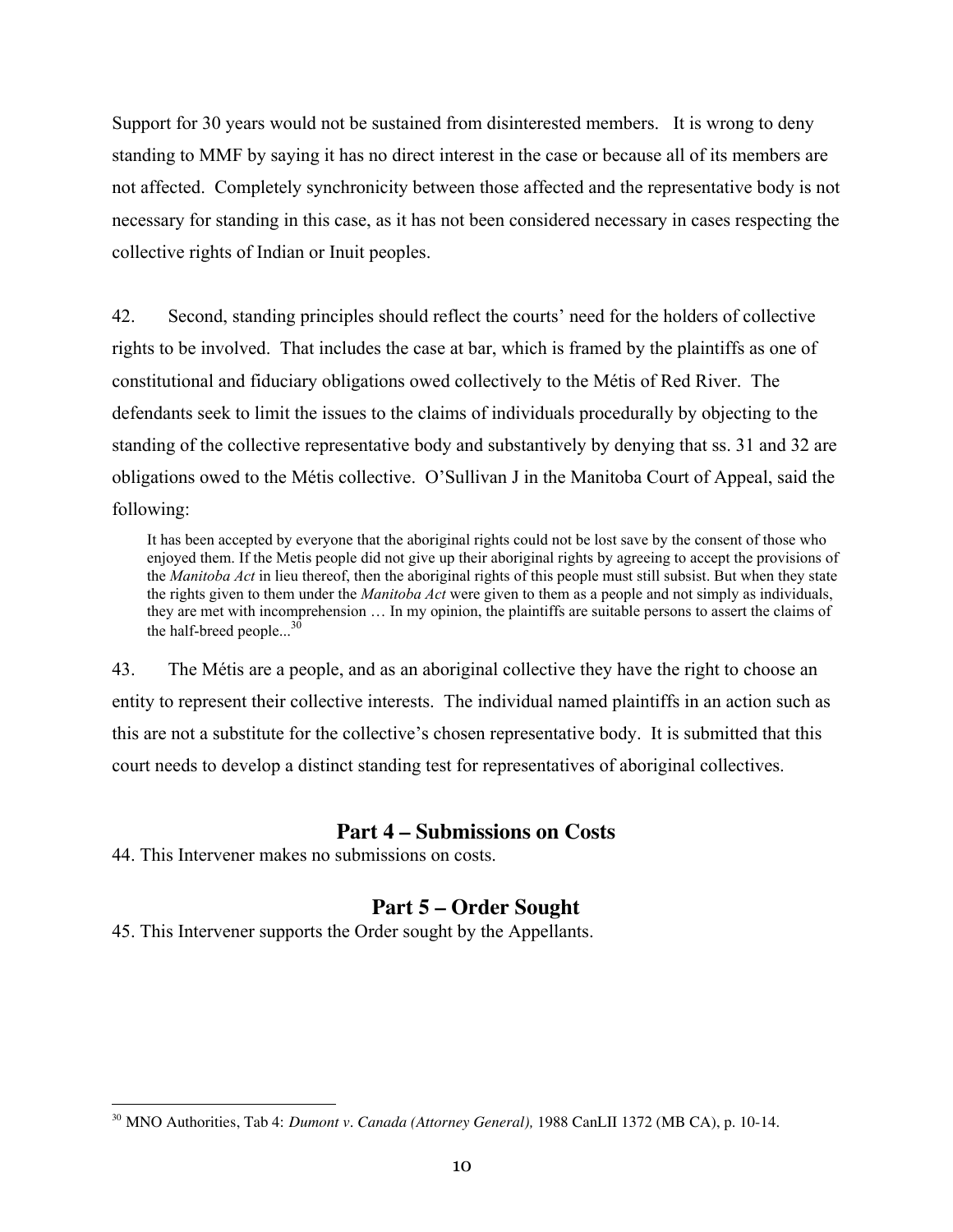Support for 30 years would not be sustained from disinterested members. It is wrong to deny standing to MMF by saying it has no direct interest in the case or because all of its members are not affected. Completely synchronicity between those affected and the representative body is not necessary for standing in this case, as it has not been considered necessary in cases respecting the collective rights of Indian or Inuit peoples.

42. Second, standing principles should reflect the courts' need for the holders of collective rights to be involved. That includes the case at bar, which is framed by the plaintiffs as one of constitutional and fiduciary obligations owed collectively to the Métis of Red River. The defendants seek to limit the issues to the claims of individuals procedurally by objecting to the standing of the collective representative body and substantively by denying that ss. 31 and 32 are obligations owed to the Métis collective. O'Sullivan J in the Manitoba Court of Appeal, said the following:

It has been accepted by everyone that the aboriginal rights could not be lost save by the consent of those who enjoyed them. If the Metis people did not give up their aboriginal rights by agreeing to accept the provisions of the *Manitoba Act* in lieu thereof, then the aboriginal rights of this people must still subsist. But when they state the rights given to them under the *Manitoba Act* were given to them as a people and not simply as individuals, they are met with incomprehension … In my opinion, the plaintiffs are suitable persons to assert the claims of the half-breed people... $^{30}$ 

43. The Métis are a people, and as an aboriginal collective they have the right to choose an entity to represent their collective interests. The individual named plaintiffs in an action such as this are not a substitute for the collective's chosen representative body. It is submitted that this court needs to develop a distinct standing test for representatives of aboriginal collectives.

# **Part 4 – Submissions on Costs**

44. This Intervener makes no submissions on costs.

 $\overline{a}$ 

# **Part 5 – Order Sought**

45. This Intervener supports the Order sought by the Appellants.

<sup>30</sup> MNO Authorities, Tab 4: *Dumont v. Canada (Attorney General),* 1988 CanLII 1372 (MB CA), p. 10-14.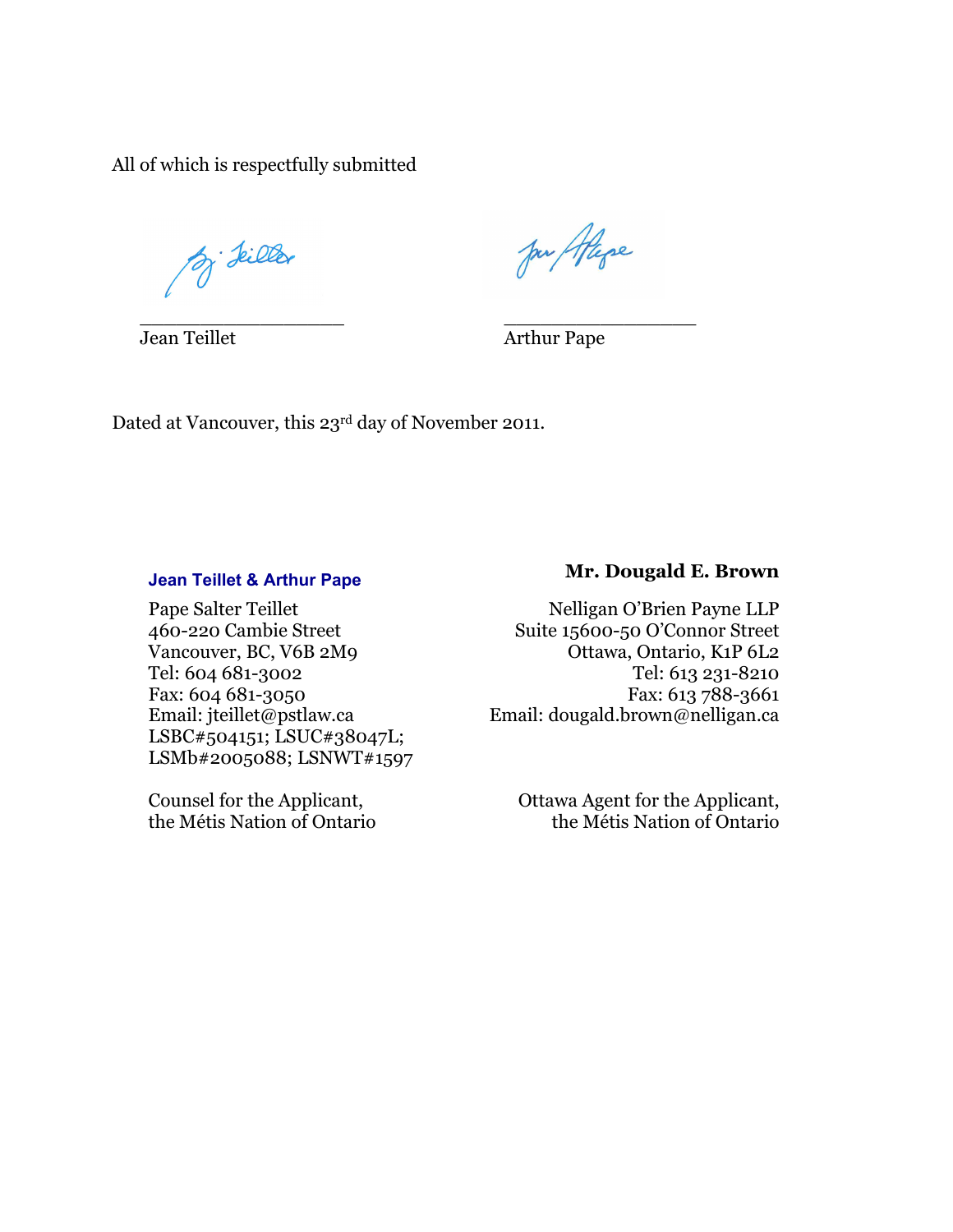All of which is respectfully submitted

Biller

Jan Alige

\_\_\_\_\_\_\_\_\_\_\_\_\_\_\_\_\_ \_\_\_\_\_\_\_\_\_\_\_\_\_\_\_\_ Jean Teillet **Arthur Pape** 

Dated at Vancouver, this 23rd day of November 2011.

Fax: 604 681-3050<br>Email: jteillet@pstlaw.ca LSBC#504151; LSUC#38047L; LSMb#2005088; LSNWT#1597

Counsel for the Applicant, the Métis Nation of Ontario

# **Jean Teillet & Arthur Pape Mr. Dougald E. Brown**

Pape Salter Teillet Nelligan O'Brien Payne LLP 460-220 Cambie Street Suite 15600-50 O'Connor Street<br>Vancouver, BC, V6B 2M9 Ottawa, Ontario, K1P 6L2 Ottawa, Ontario, K1P 6L2<br>Tel: 613 231-8210 Tel: 604 681-3002<br>
Fax: 604 681-3050<br>
Tel: 613 231-8210<br>
Fax: 613 788-3661 Email: dougald.brown@nelligan.ca

> Ottawa Agent for the Applicant, the Métis Nation of Ontario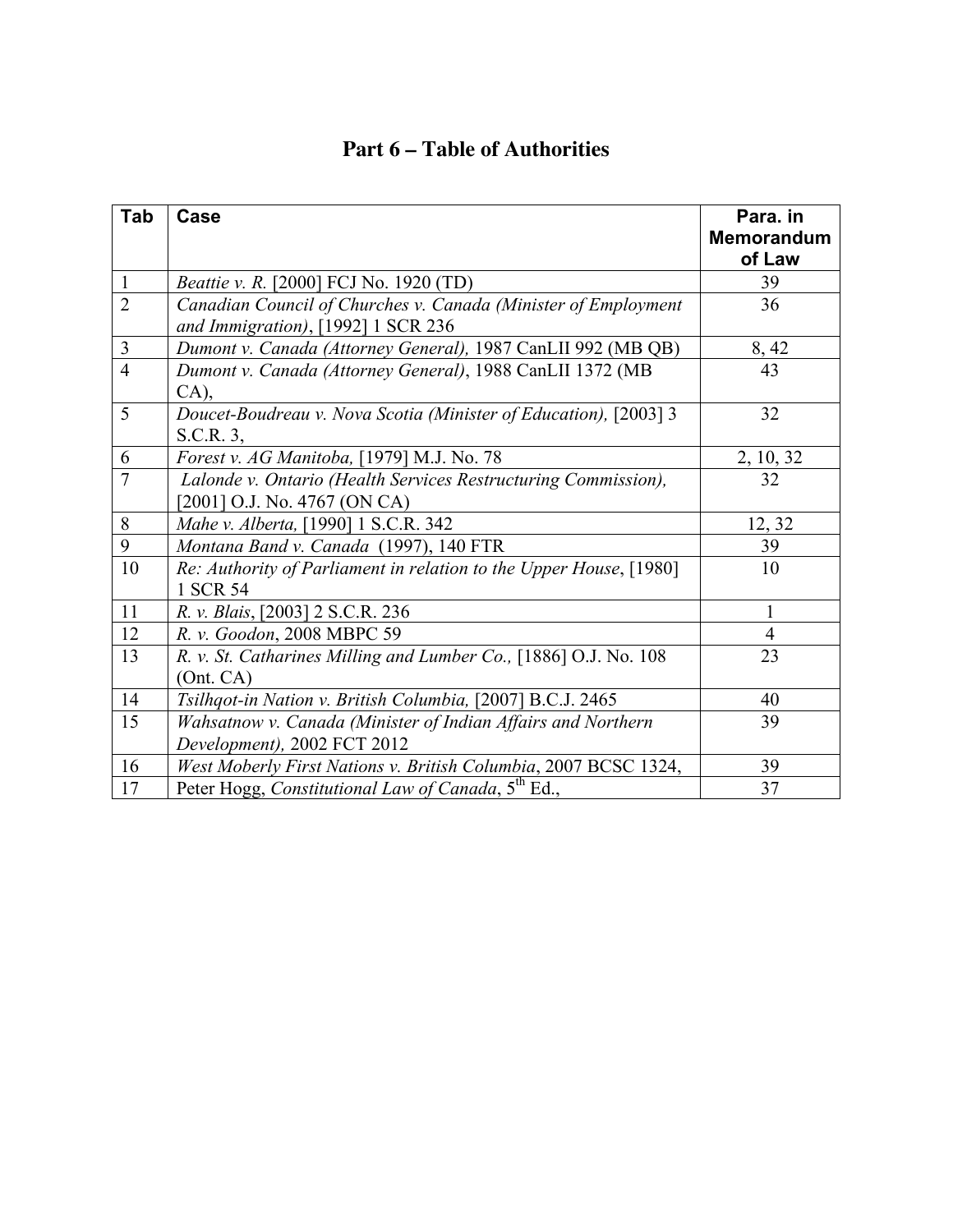| Tab            | Case                                                               | Para. in          |
|----------------|--------------------------------------------------------------------|-------------------|
|                |                                                                    | <b>Memorandum</b> |
|                |                                                                    | of Law            |
| $\mathbf{1}$   | <i>Beattie v. R.</i> [2000] FCJ No. 1920 (TD)                      | 39                |
| $\overline{2}$ | Canadian Council of Churches v. Canada (Minister of Employment     | 36                |
|                | and Immigration), [1992] 1 SCR 236                                 |                   |
| $\overline{3}$ | Dumont v. Canada (Attorney General), 1987 CanLII 992 (MB QB)       | 8,42              |
| $\overline{4}$ | Dumont v. Canada (Attorney General), 1988 CanLII 1372 (MB          | 43                |
|                | $CA)$ ,                                                            |                   |
| 5              | Doucet-Boudreau v. Nova Scotia (Minister of Education), [2003] 3   | 32                |
|                | S.C.R. 3,                                                          |                   |
| 6              | Forest v. AG Manitoba, [1979] M.J. No. 78                          | 2, 10, 32         |
| $\overline{7}$ | Lalonde v. Ontario (Health Services Restructuring Commission),     | 32                |
|                | [2001] O.J. No. 4767 (ON CA)                                       |                   |
| 8              | Mahe v. Alberta, [1990] 1 S.C.R. 342                               | 12, 32            |
| 9              | Montana Band v. Canada (1997), 140 FTR                             | 39                |
| 10             | Re: Authority of Parliament in relation to the Upper House, [1980] | 10                |
|                | 1 SCR 54                                                           |                   |
| 11             | R. v. Blais, [2003] 2 S.C.R. 236                                   | 1                 |
| 12             | R. v. Goodon, 2008 MBPC 59                                         | $\overline{4}$    |
| 13             | R. v. St. Catharines Milling and Lumber Co., [1886] O.J. No. 108   | 23                |
|                | (Ont. CA)                                                          |                   |
| 14             | Tsilhqot-in Nation v. British Columbia, [2007] B.C.J. 2465         | 40                |
| 15             | Wahsatnow v. Canada (Minister of Indian Affairs and Northern       | 39                |
|                | Development), 2002 FCT 2012                                        |                   |
| 16             | West Moberly First Nations v. British Columbia, 2007 BCSC 1324,    | 39                |
| 17             | Peter Hogg, Constitutional Law of Canada, 5 <sup>th</sup> Ed.,     | 37                |

# **Part 6 – Table of Authorities**